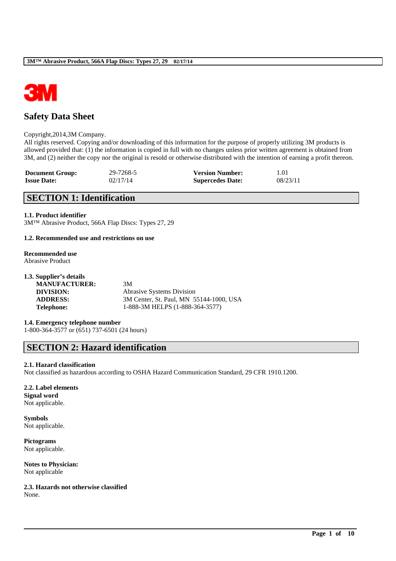

# **Safety Data Sheet**

### Copyright,2014,3M Company.

All rights reserved. Copying and/or downloading of this information for the purpose of properly utilizing 3M products is allowed provided that: (1) the information is copied in full with no changes unless prior written agreement is obtained from 3M, and (2) neither the copy nor the original is resold or otherwise distributed with the intention of earning a profit thereon.

| <b>Document Group:</b> | 29-7268-5 | <b>Version Number:</b>  | 1.01     |
|------------------------|-----------|-------------------------|----------|
| <b>Issue Date:</b>     | 02/17/14  | <b>Supercedes Date:</b> | 08/23/11 |

# **SECTION 1: Identification**

### **1.1. Product identifier**

3M™ Abrasive Product, 566A Flap Discs: Types 27, 29

### **1.2. Recommended use and restrictions on use**

# **Recommended use**

Abrasive Product

| 1.3. Supplier's details |                                         |
|-------------------------|-----------------------------------------|
| <b>MANUFACTURER:</b>    | 3M                                      |
| DIVISION:               | <b>Abrasive Systems Division</b>        |
| <b>ADDRESS:</b>         | 3M Center, St. Paul, MN 55144-1000, USA |
| <b>Telephone:</b>       | 1-888-3M HELPS (1-888-364-3577)         |
|                         |                                         |

**1.4. Emergency telephone number** 1-800-364-3577 or (651) 737-6501 (24 hours)

# **SECTION 2: Hazard identification**

### **2.1. Hazard classification**

Not classified as hazardous according to OSHA Hazard Communication Standard, 29 CFR 1910.1200.

\_\_\_\_\_\_\_\_\_\_\_\_\_\_\_\_\_\_\_\_\_\_\_\_\_\_\_\_\_\_\_\_\_\_\_\_\_\_\_\_\_\_\_\_\_\_\_\_\_\_\_\_\_\_\_\_\_\_\_\_\_\_\_\_\_\_\_\_\_\_\_\_\_\_\_\_\_\_\_\_\_\_\_\_\_\_\_\_\_\_

## **2.2. Label elements**

**Signal word** Not applicable.

**Symbols** Not applicable.

**Pictograms** Not applicable.

**Notes to Physician:** Not applicable

**2.3. Hazards not otherwise classified** None.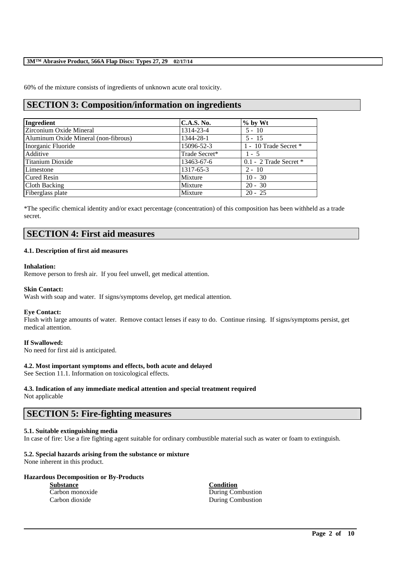60% of the mixture consists of ingredients of unknown acute oral toxicity.

# **SECTION 3: Composition/information on ingredients**

| Ingredient                           | C.A.S. No.    | $%$ by Wt              |
|--------------------------------------|---------------|------------------------|
| Zirconium Oxide Mineral              | 1314-23-4     | $5 - 10$               |
| Aluminum Oxide Mineral (non-fibrous) | 1344-28-1     | $5 - 15$               |
| Inorganic Fluoride                   | 15096-52-3    | 1 - 10 Trade Secret *  |
| Additive                             | Trade Secret* | $1 - 5$                |
| Titanium Dioxide                     | 13463-67-6    | 0.1 - 2 Trade Secret * |
| Limestone                            | 1317-65-3     | $2 - 10$               |
| <b>Cured Resin</b>                   | Mixture       | $10 - 30$              |
| Cloth Backing                        | Mixture       | $20 - 30$              |
| Fiberglass plate                     | Mixture       | $20 - 25$              |

\*The specific chemical identity and/or exact percentage (concentration) of this composition has been withheld as a trade secret.

# **SECTION 4: First aid measures**

### **4.1. Description of first aid measures**

### **Inhalation:**

Remove person to fresh air. If you feel unwell, get medical attention.

### **Skin Contact:**

Wash with soap and water. If signs/symptoms develop, get medical attention.

### **Eye Contact:**

Flush with large amounts of water. Remove contact lenses if easy to do. Continue rinsing. If signs/symptoms persist, get medical attention.

### **If Swallowed:**

No need for first aid is anticipated.

## **4.2. Most important symptoms and effects, both acute and delayed**

See Section 11.1. Information on toxicological effects.

# **4.3. Indication of any immediate medical attention and special treatment required**

Not applicable

# **SECTION 5: Fire-fighting measures**

### **5.1. Suitable extinguishing media**

In case of fire: Use a fire fighting agent suitable for ordinary combustible material such as water or foam to extinguish.

\_\_\_\_\_\_\_\_\_\_\_\_\_\_\_\_\_\_\_\_\_\_\_\_\_\_\_\_\_\_\_\_\_\_\_\_\_\_\_\_\_\_\_\_\_\_\_\_\_\_\_\_\_\_\_\_\_\_\_\_\_\_\_\_\_\_\_\_\_\_\_\_\_\_\_\_\_\_\_\_\_\_\_\_\_\_\_\_\_\_

## **5.2. Special hazards arising from the substance or mixture**

None inherent in this product.

# **Hazardous Decomposition or By-Products**

**Substance Condition**

Carbon monoxide During Combustion Carbon dioxide During Combustion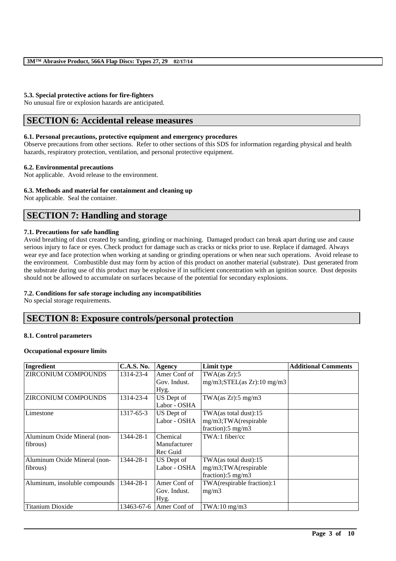## **5.3. Special protective actions for fire-fighters**

No unusual fire or explosion hazards are anticipated.

# **SECTION 6: Accidental release measures**

## **6.1. Personal precautions, protective equipment and emergency procedures**

Observe precautions from other sections. Refer to other sections of this SDS for information regarding physical and health hazards, respiratory protection, ventilation, and personal protective equipment.

### **6.2. Environmental precautions**

Not applicable. Avoid release to the environment.

### **6.3. Methods and material for containment and cleaning up**

Not applicable. Seal the container.

# **SECTION 7: Handling and storage**

### **7.1. Precautions for safe handling**

Avoid breathing of dust created by sanding, grinding or machining. Damaged product can break apart during use and cause serious injury to face or eyes. Check product for damage such as cracks or nicks prior to use. Replace if damaged. Always wear eye and face protection when working at sanding or grinding operations or when near such operations. Avoid release to the environment. Combustible dust may form by action of this product on another material (substrate). Dust generated from the substrate during use of this product may be explosive if in sufficient concentration with an ignition source. Dust deposits should not be allowed to accumulate on surfaces because of the potential for secondary explosions.

## **7.2. Conditions for safe storage including any incompatibilities**

No special storage requirements.

# **SECTION 8: Exposure controls/personal protection**

### **8.1. Control parameters**

## **Occupational exposure limits**

| Ingredient                    | <b>C.A.S. No.</b> | <b>Agency</b> | Limit type                      | <b>Additional Comments</b> |
|-------------------------------|-------------------|---------------|---------------------------------|----------------------------|
| <b>ZIRCONIUM COMPOUNDS</b>    | 1314-23-4         | Amer Conf of  | TWA(as Zr):5                    |                            |
|                               |                   | Gov. Indust.  | $mg/m3$ ; STEL(as Zr): 10 mg/m3 |                            |
|                               |                   | Hyg.          |                                 |                            |
| <b>ZIRCONIUM COMPOUNDS</b>    | 1314-23-4         | US Dept of    | TWA $(as Zr): 5 mg/m3$          |                            |
|                               |                   | Labor - OSHA  |                                 |                            |
| Limestone                     | 1317-65-3         | US Dept of    | TWA(as total dust):15           |                            |
|                               |                   | Labor - OSHA  | mg/m3;TWA(respirable            |                            |
|                               |                   |               | fraction): $5 \text{ mg/m}$ 3   |                            |
| Aluminum Oxide Mineral (non-  | 1344-28-1         | Chemical      | $TWA:1$ fiber/cc                |                            |
| fibrous)                      |                   | Manufacturer  |                                 |                            |
|                               |                   | Rec Guid      |                                 |                            |
| Aluminum Oxide Mineral (non-  | 1344-28-1         | US Dept of    | TWA(as total dust):15           |                            |
| fibrous)                      |                   | Labor - OSHA  | mg/m3;TWA(respirable            |                            |
|                               |                   |               | fraction): $5 \text{ mg/m}$ 3   |                            |
| Aluminum, insoluble compounds | 1344-28-1         | Amer Conf of  | TWA(respirable fraction):1      |                            |
|                               |                   | Gov. Indust.  | mg/m3                           |                            |
|                               |                   | Hyg.          |                                 |                            |
| <b>Titanium Dioxide</b>       | 13463-67-6        | Amer Conf of  | $TWA:10$ mg/m $3$               |                            |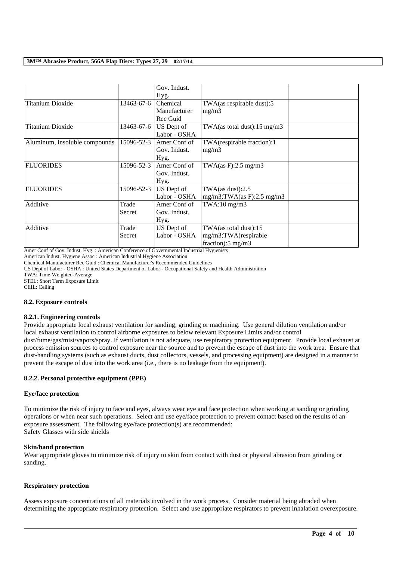|                               |            | Gov. Indust. |                                |  |
|-------------------------------|------------|--------------|--------------------------------|--|
|                               |            | Hyg.         |                                |  |
| <b>Titanium Dioxide</b>       | 13463-67-6 | Chemical     | TWA(as respirable dust):5      |  |
|                               |            | Manufacturer | mg/m3                          |  |
|                               |            | Rec Guid     |                                |  |
| <b>Titanium Dioxide</b>       | 13463-67-6 | US Dept of   | TWA(as total dust):15 mg/m3    |  |
|                               |            | Labor - OSHA |                                |  |
| Aluminum, insoluble compounds | 15096-52-3 | Amer Conf of | TWA(respirable fraction):1     |  |
|                               |            | Gov. Indust. | mg/m3                          |  |
|                               |            | Hyg.         |                                |  |
| <b>FLUORIDES</b>              | 15096-52-3 | Amer Conf of | TWA $(as F): 2.5 mg/m3$        |  |
|                               |            | Gov. Indust. |                                |  |
|                               |            | Hyg.         |                                |  |
| <b>FLUORIDES</b>              | 15096-52-3 | US Dept of   | TWA $(as dust):2.5$            |  |
|                               |            | Labor - OSHA | $mg/m3$ ; TWA(as F): 2.5 mg/m3 |  |
| Additive                      | Trade      | Amer Conf of | $TWA:10$ mg/m $3$              |  |
|                               | Secret     | Gov. Indust. |                                |  |
|                               |            | Hyg.         |                                |  |
| Additive                      | Trade      | US Dept of   | TWA(as total dust):15          |  |
|                               | Secret     | Labor - OSHA | mg/m3;TWA(respirable           |  |
|                               |            |              | fraction): $5 \text{ mg/m}$ 3  |  |

Amer Conf of Gov. Indust. Hyg. : American Conference of Governmental Industrial Hygienists

American Indust. Hygiene Assoc : American Industrial Hygiene Association

Chemical Manufacturer Rec Guid : Chemical Manufacturer's Recommended Guidelines

US Dept of Labor - OSHA : United States Department of Labor - Occupational Safety and Health Administration

TWA: Time-Weighted-Average

STEL: Short Term Exposure Limit

CEIL: Ceiling

### **8.2. Exposure controls**

### **8.2.1. Engineering controls**

Provide appropriate local exhaust ventilation for sanding, grinding or machining. Use general dilution ventilation and/or local exhaust ventilation to control airborne exposures to below relevant Exposure Limits and/or control dust/fume/gas/mist/vapors/spray. If ventilation is not adequate, use respiratory protection equipment. Provide local exhaust at

process emission sources to control exposure near the source and to prevent the escape of dust into the work area. Ensure that dust-handling systems (such as exhaust ducts, dust collectors, vessels, and processing equipment) are designed in a manner to prevent the escape of dust into the work area (i.e., there is no leakage from the equipment).

## **8.2.2. Personal protective equipment (PPE)**

### **Eye/face protection**

To minimize the risk of injury to face and eyes, always wear eye and face protection when working at sanding or grinding operations or when near such operations. Select and use eye/face protection to prevent contact based on the results of an exposure assessment. The following eye/face protection(s) are recommended: Safety Glasses with side shields

## **Skin/hand protection**

Wear appropriate gloves to minimize risk of injury to skin from contact with dust or physical abrasion from grinding or sanding.

### **Respiratory protection**

Assess exposure concentrations of all materials involved in the work process. Consider material being abraded when determining the appropriate respiratory protection. Select and use appropriate respirators to prevent inhalation overexposure.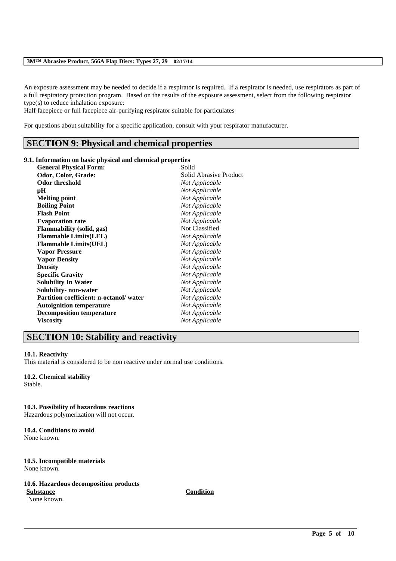An exposure assessment may be needed to decide if a respirator is required. If a respirator is needed, use respirators as part of a full respiratory protection program. Based on the results of the exposure assessment, select from the following respirator type(s) to reduce inhalation exposure:

Half facepiece or full facepiece air-purifying respirator suitable for particulates

For questions about suitability for a specific application, consult with your respirator manufacturer.

# **SECTION 9: Physical and chemical properties**

### **9.1. Information on basic physical and chemical properties**

| <b>General Physical Form:</b>                 | Solid                  |
|-----------------------------------------------|------------------------|
| Odor, Color, Grade:                           | Solid Abrasive Product |
| <b>Odor threshold</b>                         | Not Applicable         |
| pН                                            | Not Applicable         |
| <b>Melting point</b>                          | Not Applicable         |
| <b>Boiling Point</b>                          | Not Applicable         |
| <b>Flash Point</b>                            | Not Applicable         |
| <b>Evaporation rate</b>                       | Not Applicable         |
| <b>Flammability</b> (solid, gas)              | Not Classified         |
| <b>Flammable Limits(LEL)</b>                  | Not Applicable         |
| <b>Flammable Limits(UEL)</b>                  | Not Applicable         |
| <b>Vapor Pressure</b>                         | Not Applicable         |
| <b>Vapor Density</b>                          | Not Applicable         |
| <b>Density</b>                                | Not Applicable         |
| <b>Specific Gravity</b>                       | Not Applicable         |
| <b>Solubility In Water</b>                    | Not Applicable         |
| Solubility- non-water                         | Not Applicable         |
| <b>Partition coefficient: n-octanol/water</b> | Not Applicable         |
| <b>Autoignition temperature</b>               | Not Applicable         |
| <b>Decomposition temperature</b>              | Not Applicable         |
| <b>Viscosity</b>                              | Not Applicable         |

# **SECTION 10: Stability and reactivity**

### **10.1. Reactivity**

This material is considered to be non reactive under normal use conditions.

## **10.2. Chemical stability**

Stable.

### **10.3. Possibility of hazardous reactions**

Hazardous polymerization will not occur.

### **10.4. Conditions to avoid** None known.

### **10.5. Incompatible materials** None known.

# **10.6. Hazardous decomposition products**

None known.

**Substance Condition**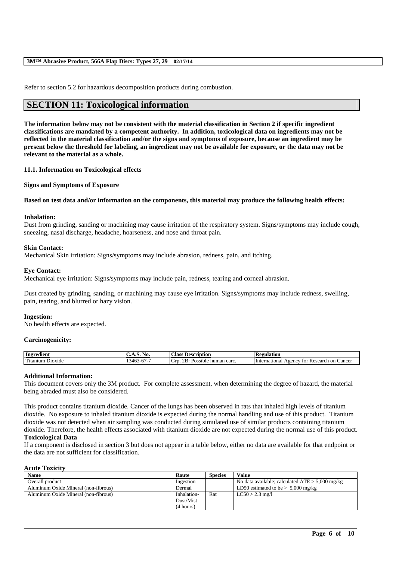Refer to section 5.2 for hazardous decomposition products during combustion.

# **SECTION 11: Toxicological information**

**The information below may not be consistent with the material classification in Section 2 if specific ingredient classifications are mandated by a competent authority. In addition, toxicological data on ingredients may not be reflected in the material classification and/or the signs and symptoms of exposure, because an ingredient may be present below the threshold for labeling, an ingredient may not be available for exposure, or the data may not be relevant to the material as a whole.**

### **11.1. Information on Toxicological effects**

**Signs and Symptoms of Exposure**

### **Based on test data and/or information on the components, this material may produce the following health effects:**

### **Inhalation:**

Dust from grinding, sanding or machining may cause irritation of the respiratory system. Signs/symptoms may include cough, sneezing, nasal discharge, headache, hoarseness, and nose and throat pain.

### **Skin Contact:**

Mechanical Skin irritation: Signs/symptoms may include abrasion, redness, pain, and itching.

### **Eye Contact:**

Mechanical eye irritation: Signs/symptoms may include pain, redness, tearing and corneal abrasion.

Dust created by grinding, sanding, or machining may cause eye irritation. Signs/symptoms may include redness, swelling, pain, tearing, and blurred or hazy vision.

### **Ingestion:**

No health effects are expected.

### **Carcinogenicity:**

| Ingredient                                                   | ,,,                                       | <b>Class</b><br>Description                                  | 'egulation                                                            |
|--------------------------------------------------------------|-------------------------------------------|--------------------------------------------------------------|-----------------------------------------------------------------------|
| $\mathbf{r}$<br>D <sub>10</sub> x <sub>1</sub> de<br>itanium | $-$<br>-<br>. 146.<br>$\cdots$<br>$\cdot$ | <br>$\mathbf{r}$<br>GIT<br>human carc.<br>ossible.<br>$\sim$ | ∠ancer<br>on<br>International<br>Research<br>A <sub>genc</sub><br>tor |

### **Additional Information:**

This document covers only the 3M product. For complete assessment, when determining the degree of hazard, the material being abraded must also be considered.

This product contains titanium dioxide. Cancer of the lungs has been observed in rats that inhaled high levels of titanium dioxide. No exposure to inhaled titanium dioxide is expected during the normal handling and use of this product. Titanium dioxide was not detected when air sampling was conducted during simulated use of similar products containing titanium dioxide. Therefore, the health effects associated with titanium dioxide are not expected during the normal use of this product.

### **Toxicological Data**

If a component is disclosed in section 3 but does not appear in a table below, either no data are available for that endpoint or the data are not sufficient for classification.

#### **Acute Toxicity**

| <b>Name</b>                          | Route       | <b>Species</b> | Value                                             |
|--------------------------------------|-------------|----------------|---------------------------------------------------|
| Overall product                      | Ingestion   |                | No data available; calculated $ATE > 5,000$ mg/kg |
| Aluminum Oxide Mineral (non-fibrous) | Dermal      |                | LD50 estimated to be $> 5,000$ mg/kg              |
| Aluminum Oxide Mineral (non-fibrous) | Inhalation- | Rat            | $LC50 > 2.3$ mg/l                                 |
|                                      | Dust/Mist   |                |                                                   |
|                                      | (4 hours)   |                |                                                   |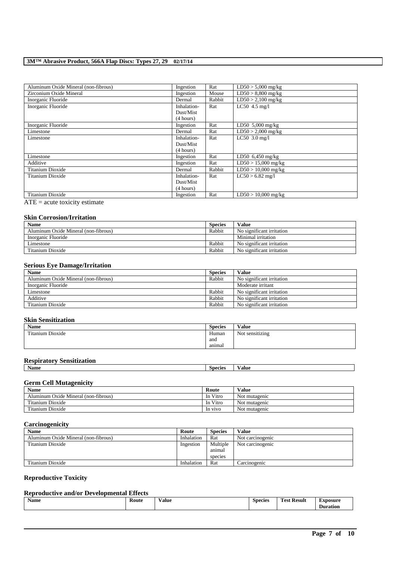| Aluminum Oxide Mineral (non-fibrous) | Ingestion   | Rat    | $LD50 > 5,000$ mg/kg  |
|--------------------------------------|-------------|--------|-----------------------|
| Zirconium Oxide Mineral              | Ingestion   | Mouse  | $LD50 > 8,800$ mg/kg  |
| Inorganic Fluoride                   | Dermal      | Rabbit | $LD50 > 2,100$ mg/kg  |
| Inorganic Fluoride                   | Inhalation- | Rat    | LC50 4.5 mg/l         |
|                                      | Dust/Mist   |        |                       |
|                                      | (4 hours)   |        |                       |
| Inorganic Fluoride                   | Ingestion   | Rat    | LD50 5,000 mg/kg      |
| Limestone                            | Dermal      | Rat    | $LD50 > 2,000$ mg/kg  |
| Limestone                            | Inhalation- | Rat    | $LC50$ 3.0 mg/l       |
|                                      | Dust/Mist   |        |                       |
|                                      | (4 hours)   |        |                       |
| Limestone                            | Ingestion   | Rat    | LD50 $6,450$ mg/kg    |
| Additive                             | Ingestion   | Rat    | $LD50 > 15,000$ mg/kg |
| Titanium Dioxide                     | Dermal      | Rabbit | $LD50 > 10,000$ mg/kg |
| Titanium Dioxide                     | Inhalation- | Rat    | $LC50 > 6.82$ mg/l    |
|                                      | Dust/Mist   |        |                       |
|                                      | (4 hours)   |        |                       |
| <b>Titanium Dioxide</b>              | Ingestion   | Rat    | $LD50 > 10,000$ mg/kg |

 $\overline{ATE}$  = acute toxicity estimate

# **Skin Corrosion/Irritation**

| <b>Name</b>                          | <b>Species</b> | Value                     |
|--------------------------------------|----------------|---------------------------|
| Aluminum Oxide Mineral (non-fibrous) | Rabbit         | No significant irritation |
| Inorganic Fluoride                   |                | Minimal irritation        |
| Limestone                            | Rabbit         | No significant irritation |
| Titanium Dioxide                     | Rabbit         | No significant irritation |

## **Serious Eye Damage/Irritation**

| <b>Name</b>                          | <b>Species</b> | <b>Value</b>              |
|--------------------------------------|----------------|---------------------------|
| Aluminum Oxide Mineral (non-fibrous) | Rabbit         | No significant irritation |
| Inorganic Fluoride                   |                | Moderate irritant         |
| Limestone                            | Rabbit         | No significant irritation |
| Additive                             | Rabbit         | No significant irritation |
| Titanium Dioxide                     | Rabbit         | No significant irritation |

## **Skin Sensitization**

| <b>Name</b>           | <b>Species</b> | Value           |
|-----------------------|----------------|-----------------|
| Titanium L<br>Dioxide | Human          | Not sensitizing |
|                       | and            |                 |
|                       | animal         |                 |

## **Respiratory Sensitization**

| - -<br>ъ.<br>Name | Species | /alue |
|-------------------|---------|-------|
|                   |         |       |

## **Germ Cell Mutagenicity**

| <b>Name</b>                          | Route    | Value         |
|--------------------------------------|----------|---------------|
| Aluminum Oxide Mineral (non-fibrous) | In Vitro | Not mutagenic |
| Titanium Dioxide                     | In Vitro | Not mutagenic |
| Titanium Dioxide                     | In vivo  | Not mutagenic |

## **Carcinogenicity**

| <b>Name</b>                          | Route      | <b>Species</b> | Value            |
|--------------------------------------|------------|----------------|------------------|
| Aluminum Oxide Mineral (non-fibrous) | Inhalation | Rat            | Not carcinogenic |
| Titanium Dioxide                     | Ingestion  | Multiple       | Not carcinogenic |
|                                      |            | animal         |                  |
|                                      |            | species        |                  |
| Titanium Dioxide                     | Inhalation | Rat            | Carcinogenic     |

# **Reproductive Toxicity**

# **Reproductive and/or Developmental Effects**

|  | <b>B</b> T<br>Name | Route<br>. | $-$<br><b>Value</b><br>. | <b>Species</b><br>$  -$ | <b>CONTINUES</b><br>Result<br>'est | Exposure<br>Duration |
|--|--------------------|------------|--------------------------|-------------------------|------------------------------------|----------------------|
|--|--------------------|------------|--------------------------|-------------------------|------------------------------------|----------------------|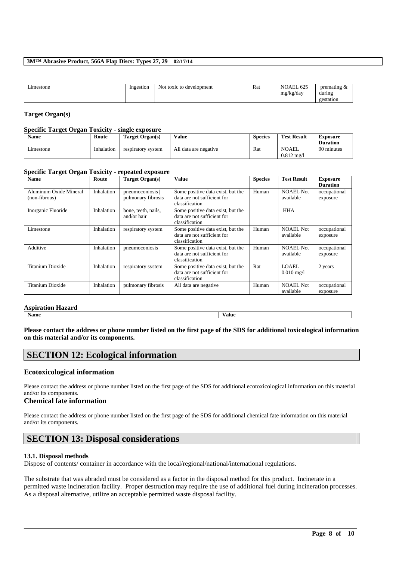| $ -$<br>Limestone | Ingestion | t toxic to development<br>Not | Rat | NOAEL 625<br>٠.<br>mg/kg/day<br>c<br>ີ | premating<br>during<br>gestation |
|-------------------|-----------|-------------------------------|-----|----------------------------------------|----------------------------------|
|                   |           |                               |     |                                        |                                  |

## **Target Organ(s)**

## **Specific Target Organ Toxicity - single exposure**

| <b>Name</b> | Route      | Target Organ(s)    | Value                 | <b>Species</b> | <b>Test Result</b>                   | <b>Exposure</b><br><b>Duration</b> |
|-------------|------------|--------------------|-----------------------|----------------|--------------------------------------|------------------------------------|
| Limestone   | Inhalation | respiratory system | All data are negative | Rat            | <b>NOAEL</b><br>$0.812 \text{ m}$ g/ | 90 minutes                         |

### **Specific Target Organ Toxicity - repeated exposure**

| <b>Name</b>                             | Route      | Target Organ(s)                      | <b>Value</b>                                                                       | <b>Species</b> | <b>Test Result</b>             | <b>Exposure</b><br><b>Duration</b> |
|-----------------------------------------|------------|--------------------------------------|------------------------------------------------------------------------------------|----------------|--------------------------------|------------------------------------|
| Aluminum Oxide Mineral<br>(non-fibrous) | Inhalation | pneumoconiosis<br>pulmonary fibrosis | Some positive data exist, but the<br>data are not sufficient for<br>classification | Human          | <b>NOAEL Not</b><br>available  | occupational<br>exposure           |
| Inorganic Fluoride                      | Inhalation | bone, teeth, nails,<br>and/or hair   | Some positive data exist, but the<br>data are not sufficient for<br>classification |                | <b>HHA</b>                     |                                    |
| Limestone                               | Inhalation | respiratory system                   | Some positive data exist, but the<br>data are not sufficient for<br>classification | Human          | NOAEL Not<br>available         | occupational<br>exposure           |
| Additive                                | Inhalation | pneumoconiosis                       | Some positive data exist, but the<br>data are not sufficient for<br>classification | Human          | <b>NOAEL Not</b><br>available  | occupational<br>exposure           |
| Titanium Dioxide                        | Inhalation | respiratory system                   | Some positive data exist, but the<br>data are not sufficient for<br>classification | Rat            | LOAEL.<br>$0.010 \text{ mg}/1$ | 2 years                            |
| Titanium Dioxide                        | Inhalation | pulmonary fibrosis                   | All data are negative                                                              | Human          | <b>NOAEL Not</b><br>available  | occupational<br>exposure           |

### **Aspiration Hazard**

**Name Value**

**Please contact the address or phone number listed on the first page of the SDS for additional toxicological information on this material and/or its components.**

# **SECTION 12: Ecological information**

# **Ecotoxicological information**

Please contact the address or phone number listed on the first page of the SDS for additional ecotoxicological information on this material and/or its components.

# **Chemical fate information**

Please contact the address or phone number listed on the first page of the SDS for additional chemical fate information on this material and/or its components.

# **SECTION 13: Disposal considerations**

# **13.1. Disposal methods**

Dispose of contents/ container in accordance with the local/regional/national/international regulations.

The substrate that was abraded must be considered as a factor in the disposal method for this product. Incinerate in a permitted waste incineration facility. Proper destruction may require the use of additional fuel during incineration processes. As a disposal alternative, utilize an acceptable permitted waste disposal facility.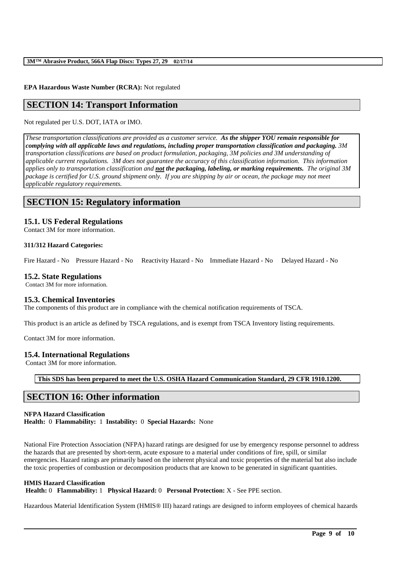## **EPA Hazardous Waste Number (RCRA):** Not regulated

# **SECTION 14: Transport Information**

Not regulated per U.S. DOT, IATA or IMO.

*These transportation classifications are provided as a customer service. As the shipper YOU remain responsible for complying with all applicable laws and regulations, including proper transportation classification and packaging. 3M transportation classifications are based on product formulation, packaging, 3M policies and 3M understanding of applicable current regulations. 3M does not guarantee the accuracy of this classification information. This information applies only to transportation classification and not the packaging, labeling, or marking requirements. The original 3M package is certified for U.S. ground shipment only. If you are shipping by air or ocean, the package may not meet applicable regulatory requirements.* 

# **SECTION 15: Regulatory information**

# **15.1. US Federal Regulations**

Contact 3M for more information.

### **311/312 Hazard Categories:**

Fire Hazard - No Pressure Hazard - No Reactivity Hazard - No Immediate Hazard - No Delayed Hazard - No

## **15.2. State Regulations**

Contact 3M for more information.

## **15.3. Chemical Inventories**

The components of this product are in compliance with the chemical notification requirements of TSCA.

This product is an article as defined by TSCA regulations, and is exempt from TSCA Inventory listing requirements.

Contact 3M for more information.

## **15.4. International Regulations**

Contact 3M for more information.

**This SDS has been prepared to meet the U.S. OSHA Hazard Communication Standard, 29 CFR 1910.1200.**

# **SECTION 16: Other information**

# **NFPA Hazard Classification**

**Health:** 0 **Flammability:** 1 **Instability:** 0 **Special Hazards:** None

National Fire Protection Association (NFPA) hazard ratings are designed for use by emergency response personnel to address the hazards that are presented by short-term, acute exposure to a material under conditions of fire, spill, or similar emergencies. Hazard ratings are primarily based on the inherent physical and toxic properties of the material but also include the toxic properties of combustion or decomposition products that are known to be generated in significant quantities.

### **HMIS Hazard Classification**

**Health:** 0 **Flammability:** 1 **Physical Hazard:** 0 **Personal Protection:** X - See PPE section.

Hazardous Material Identification System (HMIS® III) hazard ratings are designed to inform employees of chemical hazards